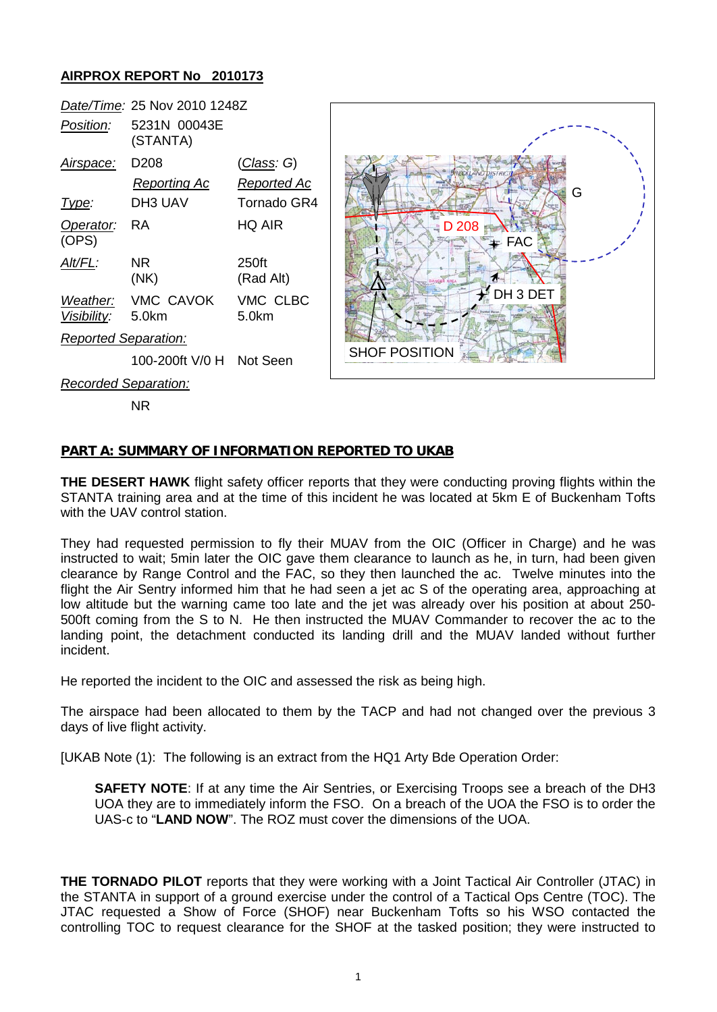## **AIRPROX REPORT No 2010173**



NR

## **PART A: SUMMARY OF INFORMATION REPORTED TO UKAB**

**THE DESERT HAWK** flight safety officer reports that they were conducting proving flights within the STANTA training area and at the time of this incident he was located at 5km E of Buckenham Tofts with the UAV control station.

They had requested permission to fly their MUAV from the OIC (Officer in Charge) and he was instructed to wait; 5min later the OIC gave them clearance to launch as he, in turn, had been given clearance by Range Control and the FAC, so they then launched the ac. Twelve minutes into the flight the Air Sentry informed him that he had seen a jet ac S of the operating area, approaching at low altitude but the warning came too late and the jet was already over his position at about 250- 500ft coming from the S to N. He then instructed the MUAV Commander to recover the ac to the landing point, the detachment conducted its landing drill and the MUAV landed without further incident.

He reported the incident to the OIC and assessed the risk as being high.

The airspace had been allocated to them by the TACP and had not changed over the previous 3 days of live flight activity.

[UKAB Note (1): The following is an extract from the HQ1 Arty Bde Operation Order:

**SAFETY NOTE**: If at any time the Air Sentries, or Exercising Troops see a breach of the DH3 UOA they are to immediately inform the FSO. On a breach of the UOA the FSO is to order the UAS-c to "**LAND NOW**". The ROZ must cover the dimensions of the UOA.

**THE TORNADO PILOT** reports that they were working with a Joint Tactical Air Controller (JTAC) in the STANTA in support of a ground exercise under the control of a Tactical Ops Centre (TOC). The JTAC requested a Show of Force (SHOF) near Buckenham Tofts so his WSO contacted the controlling TOC to request clearance for the SHOF at the tasked position; they were instructed to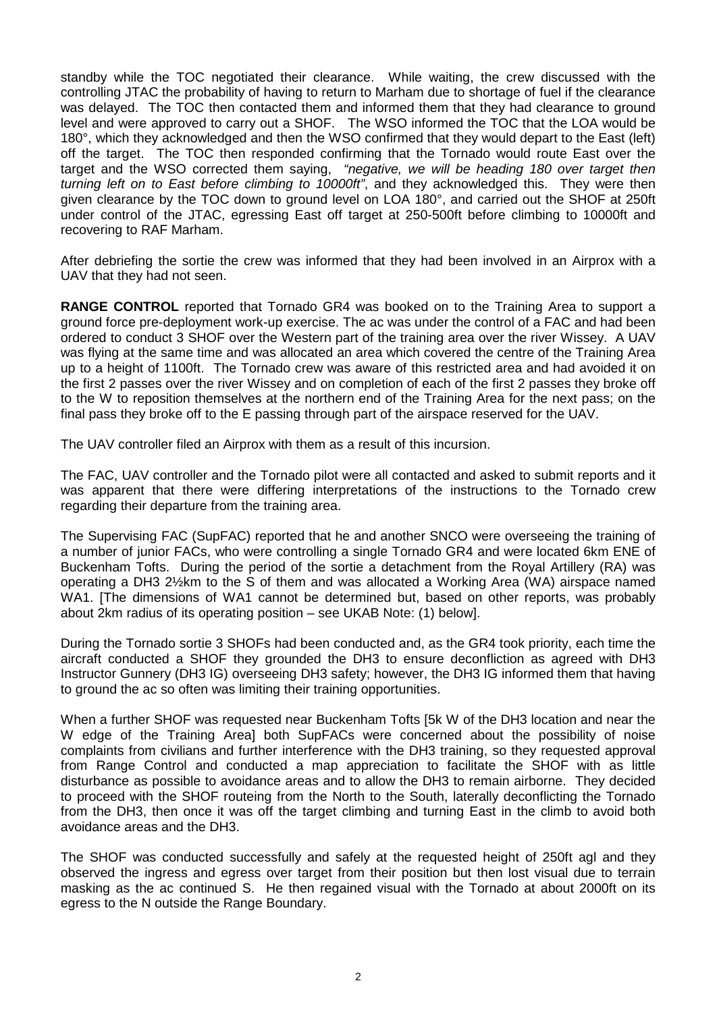standby while the TOC negotiated their clearance. While waiting, the crew discussed with the controlling JTAC the probability of having to return to Marham due to shortage of fuel if the clearance was delayed. The TOC then contacted them and informed them that they had clearance to ground level and were approved to carry out a SHOF. The WSO informed the TOC that the LOA would be 180°, which they acknowledged and then the WSO confirmed that they would depart to the East (left) off the target. The TOC then responded confirming that the Tornado would route East over the target and the WSO corrected them saying, *"negative, we will be heading 180 over target then turning left on to East before climbing to 10000ft"*, and they acknowledged this. They were then given clearance by the TOC down to ground level on LOA 180°, and carried out the SHOF at 250ft under control of the JTAC, egressing East off target at 250-500ft before climbing to 10000ft and recovering to RAF Marham.

After debriefing the sortie the crew was informed that they had been involved in an Airprox with a UAV that they had not seen.

**RANGE CONTROL** reported that Tornado GR4 was booked on to the Training Area to support a ground force pre-deployment work-up exercise. The ac was under the control of a FAC and had been ordered to conduct 3 SHOF over the Western part of the training area over the river Wissey. A UAV was flying at the same time and was allocated an area which covered the centre of the Training Area up to a height of 1100ft. The Tornado crew was aware of this restricted area and had avoided it on the first 2 passes over the river Wissey and on completion of each of the first 2 passes they broke off to the W to reposition themselves at the northern end of the Training Area for the next pass; on the final pass they broke off to the E passing through part of the airspace reserved for the UAV.

The UAV controller filed an Airprox with them as a result of this incursion.

The FAC, UAV controller and the Tornado pilot were all contacted and asked to submit reports and it was apparent that there were differing interpretations of the instructions to the Tornado crew regarding their departure from the training area.

The Supervising FAC (SupFAC) reported that he and another SNCO were overseeing the training of a number of junior FACs, who were controlling a single Tornado GR4 and were located 6km ENE of Buckenham Tofts. During the period of the sortie a detachment from the Royal Artillery (RA) was operating a DH3 2½km to the S of them and was allocated a Working Area (WA) airspace named WA1. [The dimensions of WA1 cannot be determined but, based on other reports, was probably about 2km radius of its operating position – see UKAB Note: (1) below].

During the Tornado sortie 3 SHOFs had been conducted and, as the GR4 took priority, each time the aircraft conducted a SHOF they grounded the DH3 to ensure deconfliction as agreed with DH3 Instructor Gunnery (DH3 IG) overseeing DH3 safety; however, the DH3 IG informed them that having to ground the ac so often was limiting their training opportunities.

When a further SHOF was requested near Buckenham Tofts [5k W of the DH3 location and near the W edge of the Training Area] both SupFACs were concerned about the possibility of noise complaints from civilians and further interference with the DH3 training, so they requested approval from Range Control and conducted a map appreciation to facilitate the SHOF with as little disturbance as possible to avoidance areas and to allow the DH3 to remain airborne. They decided to proceed with the SHOF routeing from the North to the South, laterally deconflicting the Tornado from the DH3, then once it was off the target climbing and turning East in the climb to avoid both avoidance areas and the DH3.

The SHOF was conducted successfully and safely at the requested height of 250ft agl and they observed the ingress and egress over target from their position but then lost visual due to terrain masking as the ac continued S. He then regained visual with the Tornado at about 2000ft on its egress to the N outside the Range Boundary.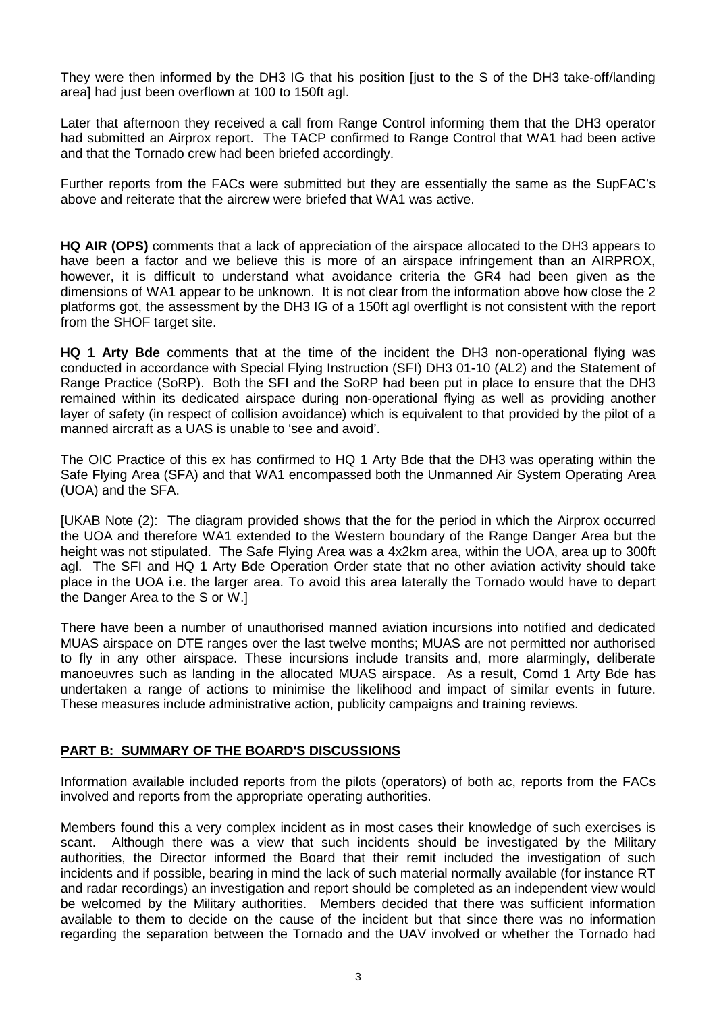They were then informed by the DH3 IG that his position [just to the S of the DH3 take-off/landing area] had just been overflown at 100 to 150ft agl.

Later that afternoon they received a call from Range Control informing them that the DH3 operator had submitted an Airprox report. The TACP confirmed to Range Control that WA1 had been active and that the Tornado crew had been briefed accordingly.

Further reports from the FACs were submitted but they are essentially the same as the SupFAC's above and reiterate that the aircrew were briefed that WA1 was active.

**HQ AIR (OPS)** comments that a lack of appreciation of the airspace allocated to the DH3 appears to have been a factor and we believe this is more of an airspace infringement than an AIRPROX, however, it is difficult to understand what avoidance criteria the GR4 had been given as the dimensions of WA1 appear to be unknown. It is not clear from the information above how close the 2 platforms got, the assessment by the DH3 IG of a 150ft agl overflight is not consistent with the report from the SHOF target site.

**HQ 1 Arty Bde** comments that at the time of the incident the DH3 non-operational flying was conducted in accordance with Special Flying Instruction (SFI) DH3 01-10 (AL2) and the Statement of Range Practice (SoRP). Both the SFI and the SoRP had been put in place to ensure that the DH3 remained within its dedicated airspace during non-operational flying as well as providing another layer of safety (in respect of collision avoidance) which is equivalent to that provided by the pilot of a manned aircraft as a UAS is unable to 'see and avoid'.

The OIC Practice of this ex has confirmed to HQ 1 Arty Bde that the DH3 was operating within the Safe Flying Area (SFA) and that WA1 encompassed both the Unmanned Air System Operating Area (UOA) and the SFA.

[UKAB Note (2): The diagram provided shows that the for the period in which the Airprox occurred the UOA and therefore WA1 extended to the Western boundary of the Range Danger Area but the height was not stipulated. The Safe Flying Area was a 4x2km area, within the UOA, area up to 300ft agl. The SFI and HQ 1 Arty Bde Operation Order state that no other aviation activity should take place in the UOA i.e. the larger area. To avoid this area laterally the Tornado would have to depart the Danger Area to the S or W.]

There have been a number of unauthorised manned aviation incursions into notified and dedicated MUAS airspace on DTE ranges over the last twelve months; MUAS are not permitted nor authorised to fly in any other airspace. These incursions include transits and, more alarmingly, deliberate manoeuvres such as landing in the allocated MUAS airspace. As a result, Comd 1 Arty Bde has undertaken a range of actions to minimise the likelihood and impact of similar events in future. These measures include administrative action, publicity campaigns and training reviews.

## **PART B: SUMMARY OF THE BOARD'S DISCUSSIONS**

Information available included reports from the pilots (operators) of both ac, reports from the FACs involved and reports from the appropriate operating authorities.

Members found this a very complex incident as in most cases their knowledge of such exercises is scant. Although there was a view that such incidents should be investigated by the Military authorities, the Director informed the Board that their remit included the investigation of such incidents and if possible, bearing in mind the lack of such material normally available (for instance RT and radar recordings) an investigation and report should be completed as an independent view would be welcomed by the Military authorities. Members decided that there was sufficient information available to them to decide on the cause of the incident but that since there was no information regarding the separation between the Tornado and the UAV involved or whether the Tornado had